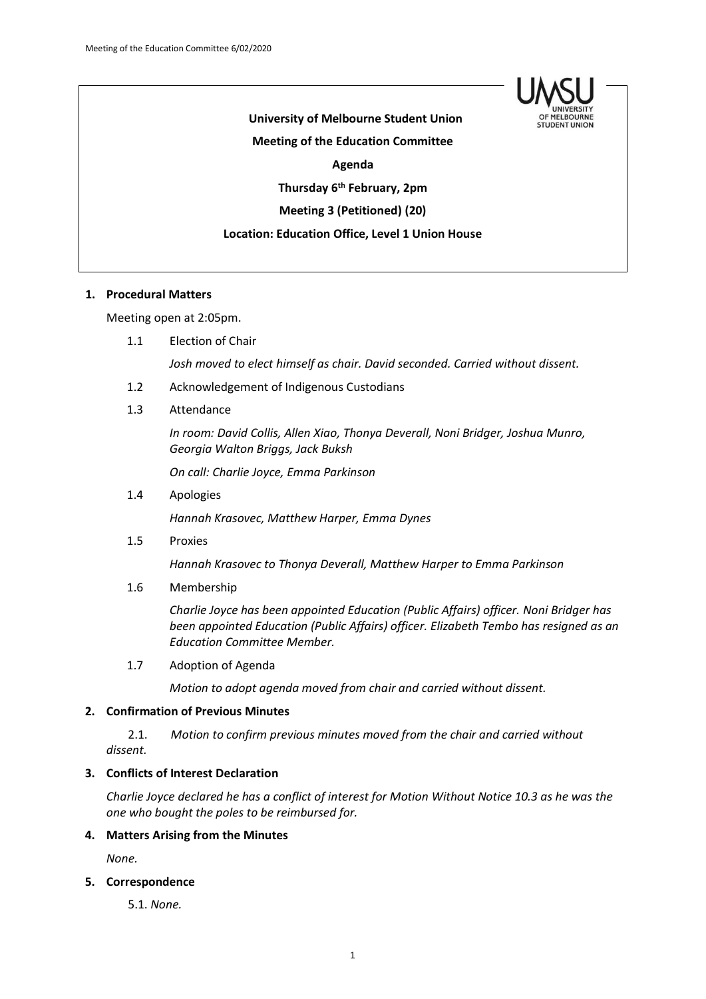

# **University of Melbourne Student Union Meeting of the Education Committee Agenda Thursday 6th February, 2pm Meeting 3 (Petitioned) (20) Location: Education Office, Level 1 Union House**

# **1. Procedural Matters**

Meeting open at 2:05pm.

1.1 Election of Chair

*Josh moved to elect himself as chair. David seconded. Carried without dissent.*

- 1.2 Acknowledgement of Indigenous Custodians
- 1.3 Attendance

*In room: David Collis, Allen Xiao, Thonya Deverall, Noni Bridger, Joshua Munro, Georgia Walton Briggs, Jack Buksh*

*On call: Charlie Joyce, Emma Parkinson*

1.4 Apologies

*Hannah Krasovec, Matthew Harper, Emma Dynes*

1.5 Proxies

*Hannah Krasovec to Thonya Deverall, Matthew Harper to Emma Parkinson*

1.6 Membership

*Charlie Joyce has been appointed Education (Public Affairs) officer. Noni Bridger has been appointed Education (Public Affairs) officer. Elizabeth Tembo has resigned as an Education Committee Member.*

1.7 Adoption of Agenda

*Motion to adopt agenda moved from chair and carried without dissent.*

## **2. Confirmation of Previous Minutes**

2.1. *Motion to confirm previous minutes moved from the chair and carried without dissent.*

# **3. Conflicts of Interest Declaration**

*Charlie Joyce declared he has a conflict of interest for Motion Without Notice 10.3 as he was the one who bought the poles to be reimbursed for.*

#### **4. Matters Arising from the Minutes**

*None.*

#### **5. Correspondence**

5.1. *None.*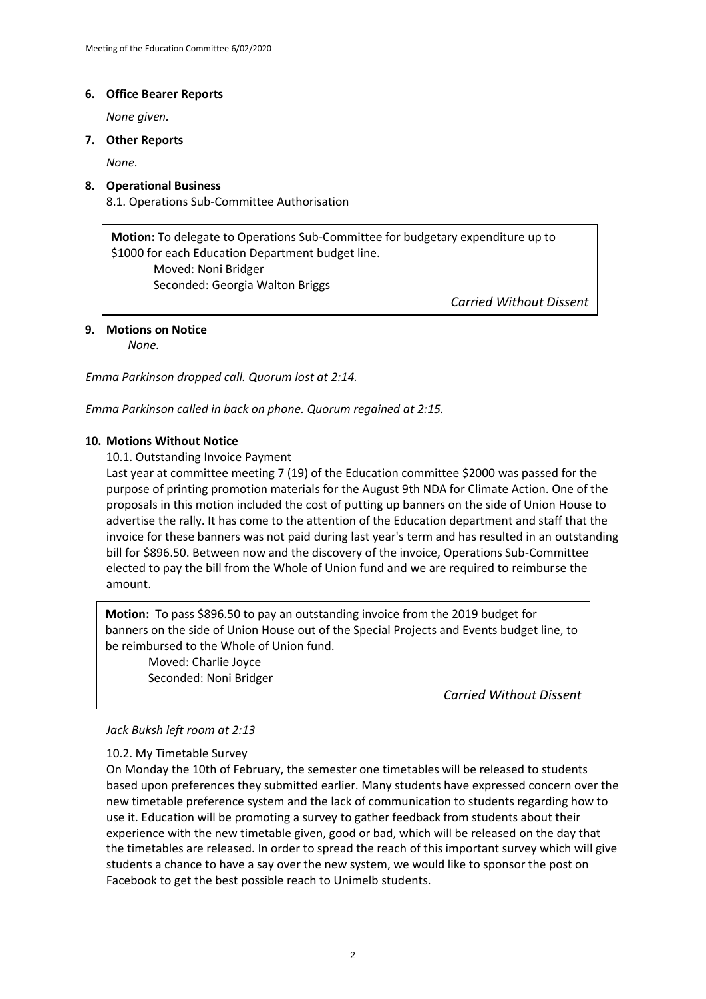### **6. Office Bearer Reports**

*None given.*

### **7. Other Reports**

*None.*

# **8. Operational Business**

8.1. Operations Sub-Committee Authorisation

**Motion:** To delegate to Operations Sub-Committee for budgetary expenditure up to \$1000 for each Education Department budget line. Moved: Noni Bridger Seconded: Georgia Walton Briggs

*Carried Without Dissent*

# **9. Motions on Notice**

*None.*

*Emma Parkinson dropped call. Quorum lost at 2:14.*

*Emma Parkinson called in back on phone. Quorum regained at 2:15.*

# **10. Motions Without Notice**

10.1. Outstanding Invoice Payment

Last year at committee meeting 7 (19) of the Education committee \$2000 was passed for the purpose of printing promotion materials for the August 9th NDA for Climate Action. One of the proposals in this motion included the cost of putting up banners on the side of Union House to advertise the rally. It has come to the attention of the Education department and staff that the invoice for these banners was not paid during last year's term and has resulted in an outstanding bill for \$896.50. Between now and the discovery of the invoice, Operations Sub-Committee elected to pay the bill from the Whole of Union fund and we are required to reimburse the amount.

**Motion:** To pass \$896.50 to pay an outstanding invoice from the 2019 budget for banners on the side of Union House out of the Special Projects and Events budget line, to be reimbursed to the Whole of Union fund.

Moved: Charlie Joyce Seconded: Noni Bridger

*Carried Without Dissent*

## *Jack Buksh left room at 2:13*

# 10.2. My Timetable Survey

**COLIM**, *IMITIME CALLE,*<br>On Monday the 10th of February, the semester one timetables will be released to students based upon preferences they submitted earlier. Many students have expressed concern over the new timetable preference system and the lack of communication to students regarding how to use it. Education will be promoting a survey to gather feedback from students about their experience with the new timetable given, good or bad, which will be released on the day that the timetables are released. In order to spread the reach of this important survey which will give students a chance to have a say over the new system, we would like to sponsor the post on Facebook to get the best possible reach to Unimelb students.